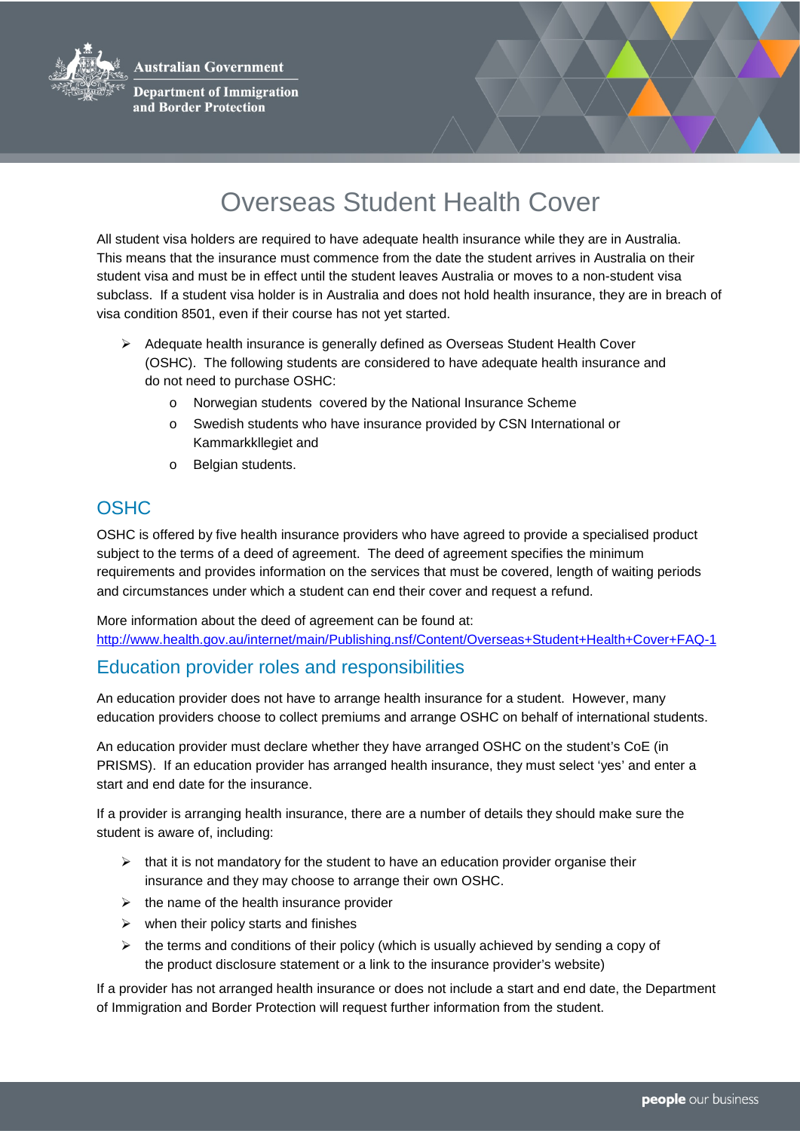**Australian Government** 



**Department of Immigration** and Border Protection



## Overseas Student Health Cover

All student visa holders are required to have adequate health insurance while they are in Australia. This means that the insurance must commence from the date the student arrives in Australia on their student visa and must be in effect until the student leaves Australia or moves to a non-student visa subclass. If a student visa holder is in Australia and does not hold health insurance, they are in breach of visa condition 8501, even if their course has not yet started.

- $\triangleright$  Adequate health insurance is generally defined as Overseas Student Health Cover (OSHC). The following students are considered to have adequate health insurance and do not need to purchase OSHC:
	- Norwegian students covered by the National Insurance Scheme
	- o Swedish students who have insurance provided by CSN International or Kammarkkllegiet and
	- o Belgian students.

## **OSHC**

OSHC is offered by five health insurance providers who have agreed to provide a specialised product subject to the terms of a deed of agreement. The deed of agreement specifies the minimum requirements and provides information on the services that must be covered, length of waiting periods and circumstances under which a student can end their cover and request a refund.

More information about the deed of agreement can be found at: <http://www.health.gov.au/internet/main/Publishing.nsf/Content/Overseas+Student+Health+Cover+FAQ-1>

## Education provider roles and responsibilities

An education provider does not have to arrange health insurance for a student. However, many education providers choose to collect premiums and arrange OSHC on behalf of international students.

An education provider must declare whether they have arranged OSHC on the student's CoE (in PRISMS). If an education provider has arranged health insurance, they must select 'yes' and enter a start and end date for the insurance.

If a provider is arranging health insurance, there are a number of details they should make sure the student is aware of, including:

- $\triangleright$  that it is not mandatory for the student to have an education provider organise their insurance and they may choose to arrange their own OSHC.
- $\triangleright$  the name of the health insurance provider
- $\triangleright$  when their policy starts and finishes
- $\triangleright$  the terms and conditions of their policy (which is usually achieved by sending a copy of the product disclosure statement or a link to the insurance provider's website)

If a provider has not arranged health insurance or does not include a start and end date, the Department of Immigration and Border Protection will request further information from the student.